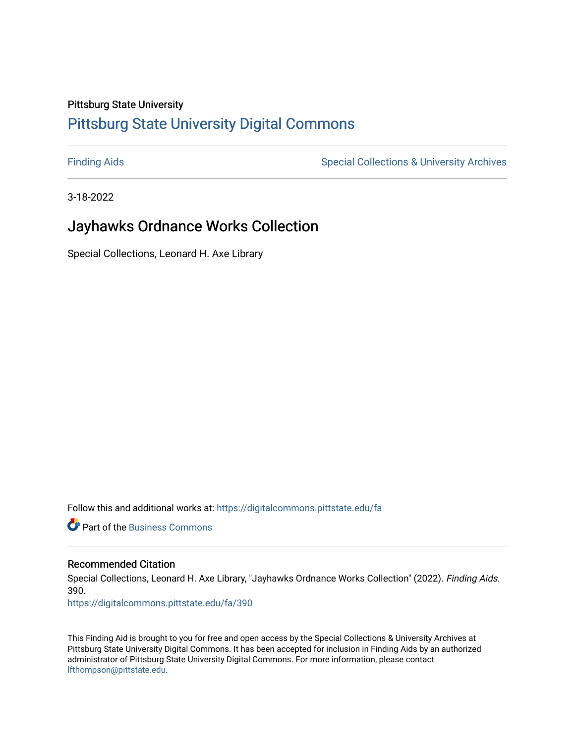#### Pittsburg State University

# [Pittsburg State University Digital Commons](https://digitalcommons.pittstate.edu/)

[Finding Aids](https://digitalcommons.pittstate.edu/fa) **Special Collections & University Archives** Special Collections & University Archives

3-18-2022

# Jayhawks Ordnance Works Collection

Special Collections, Leonard H. Axe Library

Follow this and additional works at: [https://digitalcommons.pittstate.edu/fa](https://digitalcommons.pittstate.edu/fa?utm_source=digitalcommons.pittstate.edu%2Ffa%2F390&utm_medium=PDF&utm_campaign=PDFCoverPages) 

**C** Part of the [Business Commons](http://network.bepress.com/hgg/discipline/622?utm_source=digitalcommons.pittstate.edu%2Ffa%2F390&utm_medium=PDF&utm_campaign=PDFCoverPages)

#### Recommended Citation

Special Collections, Leonard H. Axe Library, "Jayhawks Ordnance Works Collection" (2022). Finding Aids. 390.

[https://digitalcommons.pittstate.edu/fa/390](https://digitalcommons.pittstate.edu/fa/390?utm_source=digitalcommons.pittstate.edu%2Ffa%2F390&utm_medium=PDF&utm_campaign=PDFCoverPages) 

This Finding Aid is brought to you for free and open access by the Special Collections & University Archives at Pittsburg State University Digital Commons. It has been accepted for inclusion in Finding Aids by an authorized administrator of Pittsburg State University Digital Commons. For more information, please contact [lfthompson@pittstate.edu.](mailto:lfthompson@pittstate.edu)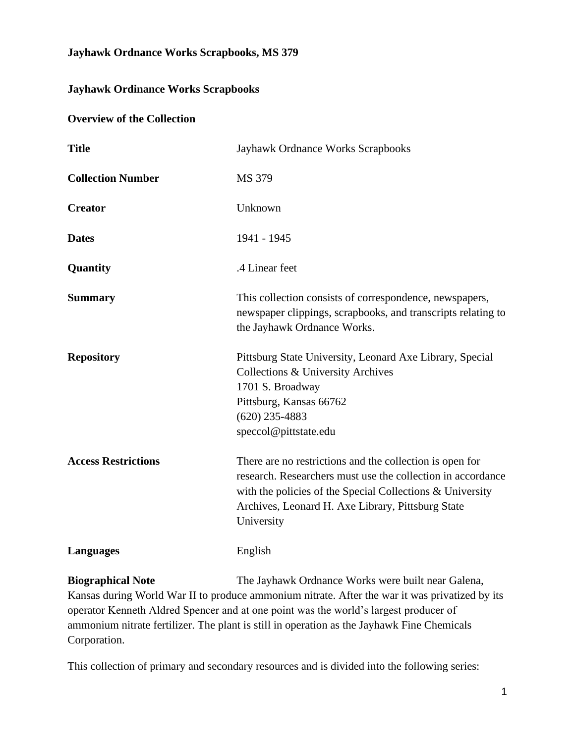## **Jayhawk Ordnance Works Scrapbooks, MS 379**

# **Jayhawk Ordinance Works Scrapbooks**

#### **Overview of the Collection**

| <b>Title</b>               | Jayhawk Ordnance Works Scrapbooks                                                                                                                                                                                                                       |
|----------------------------|---------------------------------------------------------------------------------------------------------------------------------------------------------------------------------------------------------------------------------------------------------|
| <b>Collection Number</b>   | MS 379                                                                                                                                                                                                                                                  |
| <b>Creator</b>             | Unknown                                                                                                                                                                                                                                                 |
| <b>Dates</b>               | 1941 - 1945                                                                                                                                                                                                                                             |
| Quantity                   | .4 Linear feet                                                                                                                                                                                                                                          |
| <b>Summary</b>             | This collection consists of correspondence, newspapers,<br>newspaper clippings, scrapbooks, and transcripts relating to<br>the Jayhawk Ordnance Works.                                                                                                  |
| <b>Repository</b>          | Pittsburg State University, Leonard Axe Library, Special<br>Collections & University Archives<br>1701 S. Broadway<br>Pittsburg, Kansas 66762<br>$(620)$ 235-4883<br>speccol@pittstate.edu                                                               |
| <b>Access Restrictions</b> | There are no restrictions and the collection is open for<br>research. Researchers must use the collection in accordance<br>with the policies of the Special Collections & University<br>Archives, Leonard H. Axe Library, Pittsburg State<br>University |
| <b>Languages</b>           | English                                                                                                                                                                                                                                                 |

**Biographical Note** The Jayhawk Ordnance Works were built near Galena, Kansas during World War II to produce ammonium nitrate. After the war it was privatized by its operator Kenneth Aldred Spencer and at one point was the world's largest producer of ammonium nitrate fertilizer. The plant is still in operation as the Jayhawk Fine Chemicals Corporation.

This collection of primary and secondary resources and is divided into the following series: